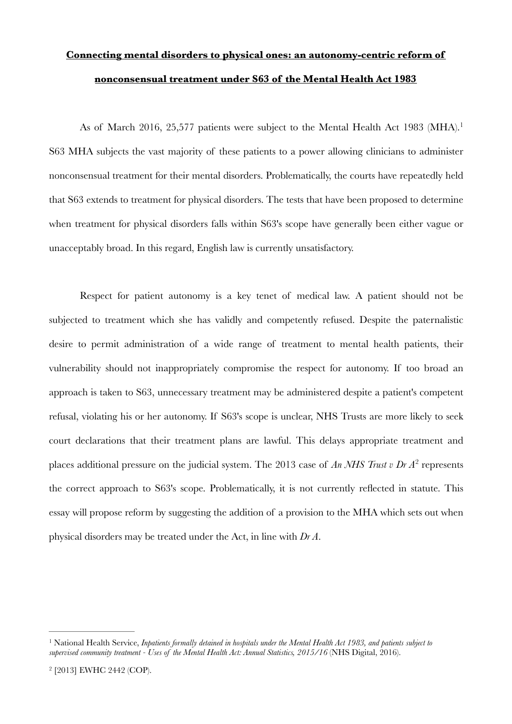# <span id="page-0-2"></span>**Connecting mental disorders to physical ones: an autonomy-centric reform of nonconsensual treatment under S63 of the Mental Health Act 1983**

As of March 20[1](#page-0-0)6, 25,577 patients were subject to the Mental Health Act 1983 (MHA).<sup>1</sup> S63 MHA subjects the vast majority of these patients to a power allowing clinicians to administer nonconsensual treatment for their mental disorders. Problematically, the courts have repeatedly held that S63 extends to treatment for physical disorders. The tests that have been proposed to determine when treatment for physical disorders falls within S63's scope have generally been either vague or unacceptably broad. In this regard, English law is currently unsatisfactory.

<span id="page-0-3"></span>Respect for patient autonomy is a key tenet of medical law. A patient should not be subjected to treatment which she has validly and competently refused. Despite the paternalistic desire to permit administration of a wide range of treatment to mental health patients, their vulnerability should not inappropriately compromise the respect for autonomy. If too broad an approach is taken to S63, unnecessary treatment may be administered despite a patient's competent refusal, violating his or her autonomy. If S63's scope is unclear, NHS Trusts are more likely to seek court declarations that their treatment plans are lawful. This delays appropriate treatment and placesadditional pressure on the judicial system. The [2](#page-0-1)013 case of *An NHS Trust v Dr A*<sup>2</sup> represents the correct approach to S63's scope. Problematically, it is not currently reflected in statute. This essay will propose reform by suggesting the addition of a provision to the MHA which sets out when physical disorders may be treated under the Act, in line with *Dr A*.

<span id="page-0-0"></span><sup>&</sup>lt;sup>[1](#page-0-2)</sup> National Health Service, *Inpatients formally detained in hospitals under the Mental Health Act 1983, and patients subject to supervised community treatment - Uses of the Mental Health Act: Annual Statistics, 2015/16* (NHS Digital, 2016).

<span id="page-0-1"></span><sup>&</sup>lt;sup>[2](#page-0-3)</sup> [2013] EWHC 2442 (COP).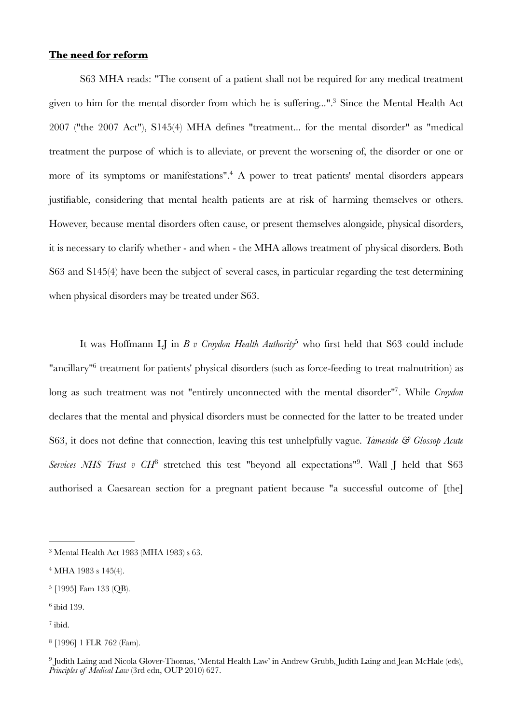## **The need for reform**

<span id="page-1-8"></span><span id="page-1-7"></span>S63 MHA reads: "The consent of a patient shall not be required for any medical treatment given to him for the mental disorder from which he is suffering[.](#page-1-0)..".<sup>[3](#page-1-0)</sup> Since the Mental Health Act 2007 ("the 2007 Act"), S145(4) MHA defines "treatment... for the mental disorder" as "medical treatment the purpose of which is to alleviate, or prevent the worsening of, the disorder or one or more of its symptoms or manifestations"[.](#page-1-1)<sup>[4](#page-1-1)</sup> A power to treat patients' mental disorders appears justifiable, considering that mental health patients are at risk of harming themselves or others. However, because mental disorders often cause, or present themselves alongside, physical disorders, it is necessary to clarify whether - and when - the MHA allows treatment of physical disorders. Both S63 and S145(4) have been the subject of several cases, in particular regarding the test determining when physical disorders may be treated under S63.

<span id="page-1-11"></span><span id="page-1-10"></span><span id="page-1-9"></span>It was Hoffmann LI in *B v Croydon Health Authority*<sup>[5](#page-1-2)</sup> who first held that S63 could include ["](#page-1-3)ancillary"<sup>[6](#page-1-3)</sup> treatment for patients' physical disorders (such as force-feeding to treat malnutrition) as long as such treatment was not "entirely unconnected with the mental disorder"<sup>[7](#page-1-4)</sup>. While *Croydon* declares that the mental and physical disorders must be connected for the latter to be treated under S63, it does not define that connection, leaving this test unhelpfully vague. *Tameside & Glossop Acute Services NHS Trust v CH*<sup>[8](#page-1-5)</sup> stretched this test "beyond all expectations"<sup>9</sup>. Wall J held that S63 authorised a Caesarean section for a pregnant patient because "a successful outcome of [the]

<span id="page-1-13"></span><span id="page-1-12"></span><span id="page-1-0"></span> $3$  Mental Health Act 1983 (MHA 1983) s 63.

<span id="page-1-1"></span> $4$  MHA 1983 s 145(4).

<span id="page-1-2"></span><sup>&</sup>lt;sup>[5](#page-1-9)</sup> [1995] Fam 133 (OB).

<span id="page-1-3"></span> $6$  ibid 139.

<span id="page-1-4"></span> $7$  ibid.

<span id="page-1-5"></span><sup>&</sup>lt;sup>[8](#page-1-12)</sup> [1996] 1 FLR 762 (Fam).

<span id="page-1-6"></span><sup>&</sup>lt;sup>[9](#page-1-13)</sup> Judith Laing and Nicola Glover-Thomas, 'Mental Health Law' in Andrew Grubb, Judith Laing and Jean McHale (eds), *Principles of Medical Law* (3rd edn, OUP 2010) 627.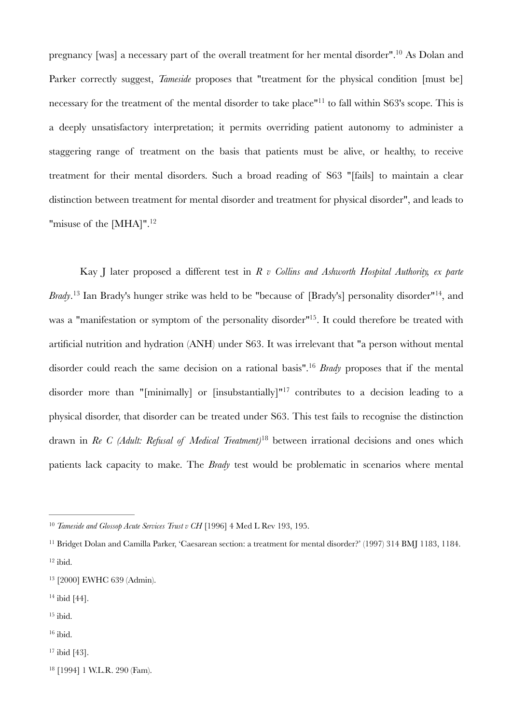<span id="page-2-10"></span><span id="page-2-9"></span>pregnancy [was] a necessary part of the overall treatment for her mental disorder"[.](#page-2-0)<sup>[10](#page-2-0)</sup> As Dolan and Parker correctly suggest, *Tameside* proposes that "treatment for the physical condition [must be] necessary for the treatment of the mental disorder to take place"<sup>[11](#page-2-1)</sup> to fall within S63's scope. This is a deeply unsatisfactory interpretation; it permits overriding patient autonomy to administer a staggering range of treatment on the basis that patients must be alive, or healthy, to receive treatment for their mental disorders. Such a broad reading of S63 "[fails] to maintain a clear distinction between treatment for mental disorder and treatment for physical disorder", and leads to "misuse of the [MHA]"[.](#page-2-2)<sup>[12](#page-2-2)</sup>

<span id="page-2-16"></span><span id="page-2-15"></span><span id="page-2-14"></span><span id="page-2-13"></span><span id="page-2-12"></span><span id="page-2-11"></span>Kay J later proposed a different test in *R v Collins and Ashworth Hospital Authority, ex parte Brady*.<sup>13</sup> Ian Brady's hunger strike was held to be "because of [Brady's] personality disorder"<sup>14</sup>[,](#page-2-4) and was a "manifestation or symptom of the personality disorder"<sup>[15](#page-2-5)</sup>. It could therefore be treated with artificial nutrition and hydration (ANH) under S63. It was irrelevant that "a person without mental disorder could reach the same decision on a rational basis".<sup>[16](#page-2-6)</sup> Brady proposes that if the mental disordermore than "[minimally] or [insubstantially]"<sup>[17](#page-2-7)</sup> contributes to a decision leading to a physical disorder, that disorder can be treated under S63. This test fails to recognise the distinction drawn in *Re C (Adult: Refusal of Medical Treatment*)<sup>[18](#page-2-8)</sup> between irrational decisions and ones which patients lack capacity to make. The *Brady* test would be problematic in scenarios where mental

- <span id="page-2-4"></span> $14$  ibid [44].
- <span id="page-2-5"></span> $15$  ibid.
- <span id="page-2-6"></span> $16$  ibid.
- <span id="page-2-7"></span> $17$  ibid [43].
- <span id="page-2-8"></span><sup>[18](#page-2-17)</sup> [1994] 1 W.L.R. 290 (Fam).

<span id="page-2-17"></span><span id="page-2-0"></span><sup>&</sup>lt;sup>[10](#page-2-9)</sup> Tameside and Glossop Acute Services Trust v CH [1996] 4 Med L Rev 193, 195.

<span id="page-2-2"></span><span id="page-2-1"></span><sup>&</sup>lt;sup>[11](#page-2-10)</sup> Bridget Dolan and Camilla Parker, 'Caesarean section: a treatment for mental disorder?' (1997) 314 BMJ 1183, 1184.  $12$  ibid.

<span id="page-2-3"></span><sup>&</sup>lt;sup>[13](#page-2-12)</sup> [2000] EWHC 639 (Admin).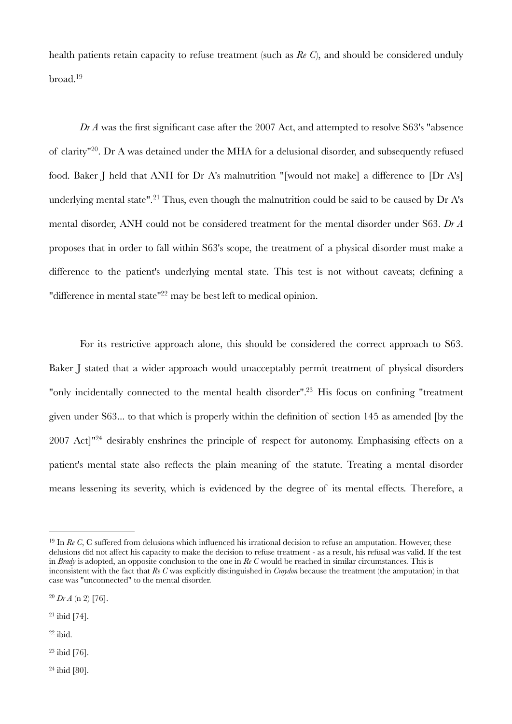<span id="page-3-6"></span>health patients retain capacity to refuse treatment (such as *Re C*), and should be considered unduly broad[.19](#page-3-0)

<span id="page-3-8"></span><span id="page-3-7"></span>*Dr A* was the first significant case after the 2007 Act, and attempted to resolve S63's "absence of clarity<sup>"[20](#page-3-1)</sup>. Dr A was detained under the MHA for a delusional disorder, and subsequently refused food. Baker J held that ANH for Dr A's malnutrition "[would not make] a difference to [Dr A's] underlyingmental state".<sup>[21](#page-3-2)</sup> Thus, even though the malnutrition could be said to be caused by Dr A's mental disorder, ANH could not be considered treatment for the mental disorder under S63. *Dr A* proposes that in order to fall within S63's scope, the treatment of a physical disorder must make a difference to the patient's underlying mental state. This test is not without caveats; defining a ["](#page-3-3)difference in mental state" $^{22}$  $^{22}$  $^{22}$  may be best left to medical opinion.

<span id="page-3-11"></span><span id="page-3-10"></span><span id="page-3-9"></span>For its restrictive approach alone, this should be considered the correct approach to S63. Baker J stated that a wider approach would unacceptably permit treatment of physical disorders "only incidentally connected to the mental health disorder"[.](#page-3-4)<sup>[23](#page-3-4)</sup> His focus on confining "treatment" given under S63... to that which is properly within the definition of section 145 as amended [by the 2007 Act]<sup>"[24](#page-3-5)</sup> desirably enshrines the principle of respect for autonomy. Emphasising effects on a patient's mental state also reflects the plain meaning of the statute. Treating a mental disorder means lessening its severity, which is evidenced by the degree of its mental effects. Therefore, a

<span id="page-3-1"></span> $^{20}$  $^{20}$  $^{20}$  *Dr A* (n 2) [76].

<span id="page-3-2"></span> $21$  ibid [74].

<span id="page-3-3"></span> $22$  ibid.

<span id="page-3-4"></span> $23$  ibid [76].

<span id="page-3-5"></span> $24$  ibid [80].

<span id="page-3-0"></span> $19$  In *Re C*, C suffered from delusions which influenced his irrational decision to refuse an amputation. However, these delusions did not affect his capacity to make the decision to refuse treatment - as a result, his refusal was valid. If the test in *Brady* is adopted, an opposite conclusion to the one in *Re C* would be reached in similar circumstances. This is inconsistent with the fact that *Re C* was explicitly distinguished in *Croydon* because the treatment (the amputation) in that case was "unconnected" to the mental disorder.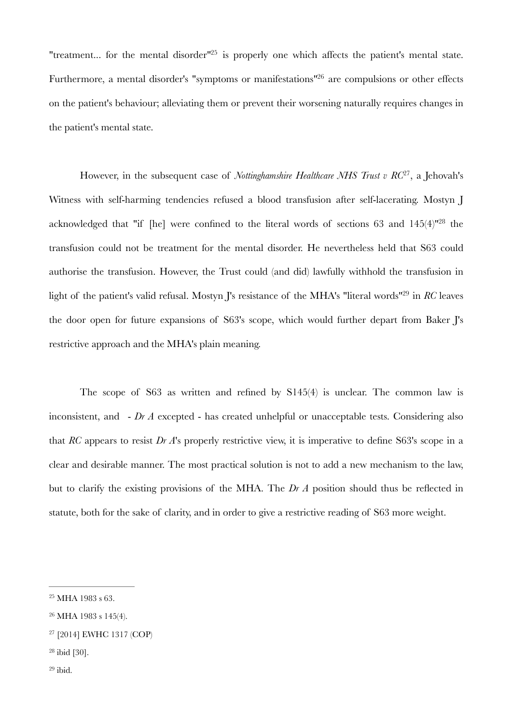<span id="page-4-6"></span><span id="page-4-5"></span>["](#page-4-0)treatment... for the mental disorder"<sup>[25](#page-4-0)</sup> is properly one which affects the patient's mental state. Furthermore, a mental disorder's ["](#page-4-1)symptoms or manifestations"<sup>[26](#page-4-1)</sup> are compulsions or other effects on the patient's behaviour; alleviating them or prevent their worsening naturally requires changes in the patient's mental state.

<span id="page-4-8"></span><span id="page-4-7"></span>However, in the subsequent case of *Nottinghamshire Healthcare NHS Trust v RC*<sup>[27](#page-4-2)</sup>, a Jehovah's Witness with self-harming tendencies refused a blood transfusion after self-lacerating. Mostyn J acknowledged that ["](#page-4-3)if [he] were confined to the literal words of sections 63 and  $145(4)$ "<sup>[28](#page-4-3)</sup> the transfusion could not be treatment for the mental disorder. He nevertheless held that S63 could authorise the transfusion. However, the Trust could (and did) lawfully withhold the transfusion in light of the patient's valid refusal. Mostyn I's resistance of the MHA's "literal words"<sup>[29](#page-4-4)</sup> in *RC* leaves the door open for future expansions of S63's scope, which would further depart from Baker J's restrictive approach and the MHA's plain meaning.

<span id="page-4-9"></span>The scope of S63 as written and refined by S145(4) is unclear. The common law is inconsistent, and - *Dr A* excepted - has created unhelpful or unacceptable tests. Considering also that *RC* appears to resist *Dr A*'s properly restrictive view, it is imperative to define S63's scope in a clear and desirable manner. The most practical solution is not to add a new mechanism to the law, but to clarify the existing provisions of the MHA. The *Dr A* position should thus be reflected in statute, both for the sake of clarity, and in order to give a restrictive reading of S63 more weight.

<span id="page-4-3"></span> $28$  ibid [30].

<span id="page-4-0"></span> $25$  MHA 1983 s 63.

<span id="page-4-1"></span><sup>&</sup>lt;sup>[26](#page-4-6)</sup> MHA 1983 s 145(4).

<span id="page-4-2"></span><sup>&</sup>lt;sup>[27](#page-4-7)</sup> [2014] EWHC 1317 (COP)

<span id="page-4-4"></span> $29$  ibid.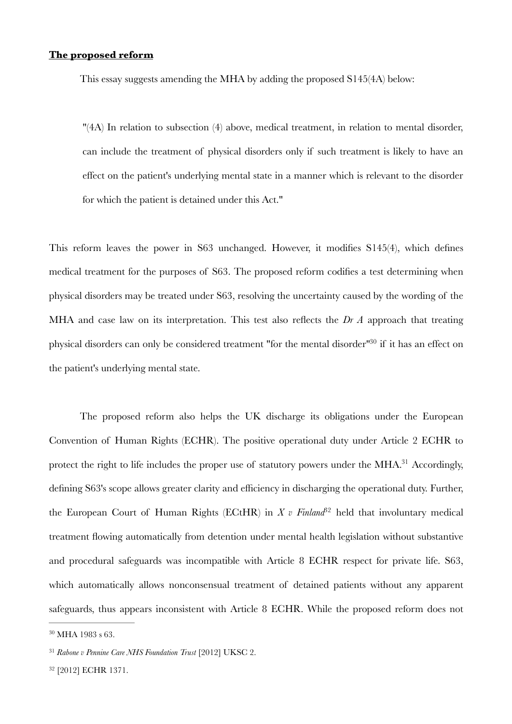## **The proposed reform**

This essay suggests amending the MHA by adding the proposed S145(4A) below:

"(4A) In relation to subsection (4) above, medical treatment, in relation to mental disorder, can include the treatment of physical disorders only if such treatment is likely to have an effect on the patient's underlying mental state in a manner which is relevant to the disorder for which the patient is detained under this Act."

This reform leaves the power in S63 unchanged. However, it modifies S145(4), which defines medical treatment for the purposes of S63. The proposed reform codifies a test determining when physical disorders may be treated under S63, resolving the uncertainty caused by the wording of the MHA and case law on its interpretation. This test also reflects the *Dr A* approach that treating physical disorders can only be considered treatment ["](#page-5-0)for the mental disorder"<sup>[30](#page-5-0)</sup> if it has an effect on the patient's underlying mental state.

<span id="page-5-5"></span><span id="page-5-4"></span><span id="page-5-3"></span>The proposed reform also helps the UK discharge its obligations under the European Convention of Human Rights (ECHR). The positive operational duty under Article 2 ECHR to protect the right to life includes the proper use of statutory powers under the MHA[.](#page-5-1)<sup>[31](#page-5-1)</sup> Accordingly, defining S63's scope allows greater clarity and efficiency in discharging the operational duty. Further, the European Court of Human Rights (ECtHR) in  $X$  v Finland<sup>82</sup> held that involuntary medical treatment flowing automatically from detention under mental health legislation without substantive and procedural safeguards was incompatible with Article 8 ECHR respect for private life. S63, which automatically allows nonconsensual treatment of detained patients without any apparent safeguards, thus appears inconsistent with Article 8 ECHR. While the proposed reform does not

<span id="page-5-0"></span> $^{30}$  $^{30}$  $^{30}$  MHA 1983 s 63.

<span id="page-5-1"></span><sup>&</sup>lt;sup>[31](#page-5-4)</sup> Rabone v Pennine Care NHS Foundation Trust [2012] UKSC 2.

<span id="page-5-2"></span><sup>&</sup>lt;sup>[32](#page-5-5)</sup> [2012] ECHR 1371.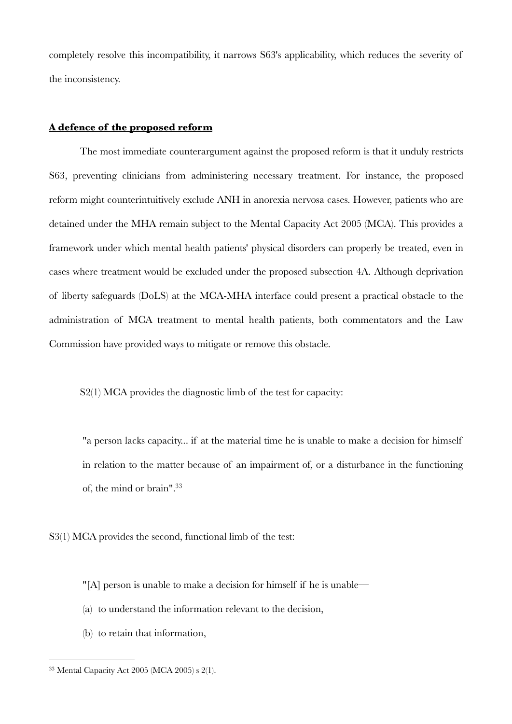completely resolve this incompatibility, it narrows S63's applicability, which reduces the severity of the inconsistency.

#### **A defence of the proposed reform**

The most immediate counterargument against the proposed reform is that it unduly restricts S63, preventing clinicians from administering necessary treatment. For instance, the proposed reform might counterintuitively exclude ANH in anorexia nervosa cases. However, patients who are detained under the MHA remain subject to the Mental Capacity Act 2005 (MCA). This provides a framework under which mental health patients' physical disorders can properly be treated, even in cases where treatment would be excluded under the proposed subsection 4A. Although deprivation of liberty safeguards (DoLS) at the MCA-MHA interface could present a practical obstacle to the administration of MCA treatment to mental health patients, both commentators and the Law Commission have provided ways to mitigate or remove this obstacle.

S<sub>2</sub>(1) MCA provides the diagnostic limb of the test for capacity:

<span id="page-6-1"></span>"a person lacks capacity... if at the material time he is unable to make a decision for himself in relation to the matter because of an impairment of, or a disturbance in the functioning of, the mind or brain"[.33](#page-6-0)

S3(1) MCA provides the second, functional limb of the test:

"[A] person is unable to make a decision for himself if he is unable—

- (a) to understand the information relevant to the decision,
- (b) to retain that information,

<span id="page-6-0"></span> $33$  Mental Capacity Act 2005 (MCA 2005) s 2(1).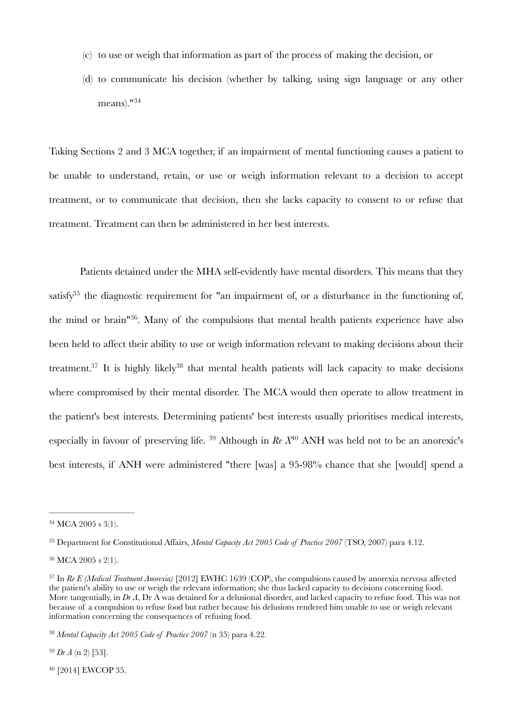- (c) to use or weigh that information as part of the process of making the decision, or
- <span id="page-7-7"></span>(d) to communicate his decision (whether by talking, using sign language or any other means)."[34](#page-7-0)

Taking Sections 2 and 3 MCA together, if an impairment of mental functioning causes a patient to be unable to understand, retain, or use or weigh information relevant to a decision to accept treatment, or to communicate that decision, then she lacks capacity to consent to or refuse that treatment. Treatment can then be administered in her best interests.

<span id="page-7-11"></span><span id="page-7-10"></span><span id="page-7-9"></span><span id="page-7-8"></span>Patients detained under the MHA self-evidently have mental disorders. This means that they satisf[y](#page-7-1)<sup>[35](#page-7-1)</sup> the diagnostic requirement for "an impairment of, or a disturbance in the functioning of, the mind or brain<sup> $136$  $136$ </sup>[.](#page-7-2) Many of the compulsions that mental health patients experience have also been held to affect their ability to use or weigh information relevant to making decisions about their treatment[.](#page-7-3)<sup>37</sup> It is highl[y](#page-7-4) likely<sup>38</sup> that mental health patients will lack capacity to make decisions where compromised by their mental disorder. The MCA would then operate to allow treatment in the patient's best interests. Determining patients' best interests usually prioritises medical interests, especiallyin favour of preserving life. <sup>39</sup> Although in  $Re X^{40}$  ANH was held not to be an anorexic's best interests, if ANH were administered "there [was] a 95-98% chance that she [would] spend a

<span id="page-7-5"></span> $39$  *Dr A* (n 2) [53].

<span id="page-7-6"></span><sup>[40](#page-7-13)</sup> [2014] EWCOP 35.

<span id="page-7-13"></span><span id="page-7-12"></span><span id="page-7-0"></span> $34$  MCA 2005 s 3(1).

<span id="page-7-1"></span><sup>&</sup>lt;sup>[35](#page-7-8)</sup> Department for Constitutional Affairs, *Mental Capacity Act 2005 Code of Practice 2007* (TSO, 2007) para 4.12.

<span id="page-7-2"></span><sup>&</sup>lt;sup>[36](#page-7-9)</sup> MCA 2005 s 2(1).

<span id="page-7-3"></span><sup>&</sup>lt;sup>[37](#page-7-10)</sup> In *Re E (Medical Treatment Anorexia)* [2012] EWHC 1639 (COP), the compulsions caused by anorexia nervosa affected the patient's ability to use or weigh the relevant information; she thus lacked capacity to decisions concerning food. More tangentially, in *Dr A*, Dr A was detained for a delusional disorder, and lacked capacity to refuse food. This was not because of a compulsion to refuse food but rather because his delusions rendered him unable to use or weigh relevant information concerning the consequences of refusing food.

<span id="page-7-4"></span>*Mental Capacity Act 2005 Code of Practice 2007* (n 35) para 4.22. [38](#page-7-11)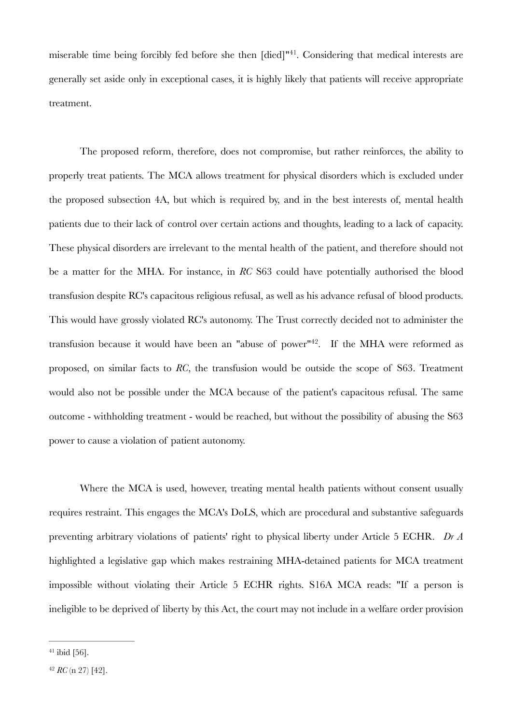<span id="page-8-2"></span>miserable time being forcibly fed before she then  $\lceil$  died $\rceil$ <sup> $n41$  $n41$ </sup>[.](#page-8-0) Considering that medical interests are generally set aside only in exceptional cases, it is highly likely that patients will receive appropriate treatment.

The proposed reform, therefore, does not compromise, but rather reinforces, the ability to properly treat patients. The MCA allows treatment for physical disorders which is excluded under the proposed subsection 4A, but which is required by, and in the best interests of, mental health patients due to their lack of control over certain actions and thoughts, leading to a lack of capacity. These physical disorders are irrelevant to the mental health of the patient, and therefore should not be a matter for the MHA. For instance, in *RC* S63 could have potentially authorised the blood transfusion despite RC's capacitous religious refusal, as well as his advance refusal of blood products. This would have grossly violated RC's autonomy. The Trust correctly decided not to administer the transfusion because it would have been an "abuse of power"<sup>42</sup>[.](#page-8-1) If the MHA were reformed as proposed, on similar facts to *RC*, the transfusion would be outside the scope of S63. Treatment would also not be possible under the MCA because of the patient's capacitous refusal. The same outcome - withholding treatment - would be reached, but without the possibility of abusing the S63 power to cause a violation of patient autonomy.

<span id="page-8-3"></span>Where the MCA is used, however, treating mental health patients without consent usually requires restraint. This engages the MCA's DoLS, which are procedural and substantive safeguards preventing arbitrary violations of patients' right to physical liberty under Article 5 ECHR. *Dr A*  highlighted a legislative gap which makes restraining MHA-detained patients for MCA treatment impossible without violating their Article 5 ECHR rights. S16A MCA reads: "If a person is ineligible to be deprived of liberty by this Act, the court may not include in a welfare order provision

<span id="page-8-0"></span> $41$  ibid [56].

<span id="page-8-1"></span> $42 RC$  $42 RC$  (n 27) [42].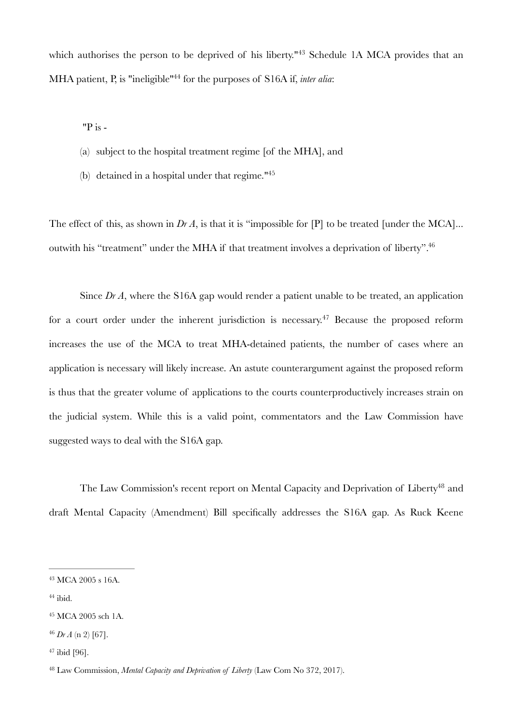whichauthorises the person to be deprived of his liberty."<sup>[43](#page-9-0)</sup> Schedule 1A MCA provides that an MHA patient, P, is "ineligible"<sup>[44](#page-9-1)</sup> for the purposes of S16A if, *inter alia*:

<span id="page-9-7"></span><span id="page-9-6"></span>"P is -

- (a) subject to the hospital treatment regime [of the MHA], and
- <span id="page-9-9"></span><span id="page-9-8"></span>(b) detained in a hospital under that regime.["45](#page-9-2)

The effect of this, as shown in *Dr A*, is that it is "impossible for [P] to be treated [under the MCA]... outwith his "treatment" under the MHA if that treatment involves a deprivation of liberty"[.46](#page-9-3)

<span id="page-9-10"></span>Since *Dr A*, where the S16A gap would render a patient unable to be treated, an application fora court order under the inherent jurisdiction is necessary.<sup> $47$ </sup> Because the proposed reform increases the use of the MCA to treat MHA-detained patients, the number of cases where an application is necessary will likely increase. An astute counterargument against the proposed reform is thus that the greater volume of applications to the courts counterproductively increases strain on the judicial system. While this is a valid point, commentators and the Law Commission have suggested ways to deal with the S16A gap.

<span id="page-9-11"></span>The Law Commission's recent report on Mental Capacit[y](#page-9-5) and Deprivation of Liberty<sup>[48](#page-9-5)</sup> and draft Mental Capacity (Amendment) Bill specifically addresses the S16A gap. As Ruck Keene

<span id="page-9-1"></span> $44$  ibid.

<span id="page-9-0"></span><sup>&</sup>lt;sup>[43](#page-9-6)</sup> MCA 2005 s 16A.

<span id="page-9-2"></span><sup>&</sup>lt;sup>[45](#page-9-8)</sup> MCA 2005 sch 1A.

<span id="page-9-3"></span>*Dr A* (n 2) [67]. [46](#page-9-9)

<span id="page-9-4"></span> $47$  ibid [96].

<span id="page-9-5"></span>Law Commission, *Mental Capacity and Deprivation of Liberty* (Law Com No 372, 2017). [48](#page-9-11)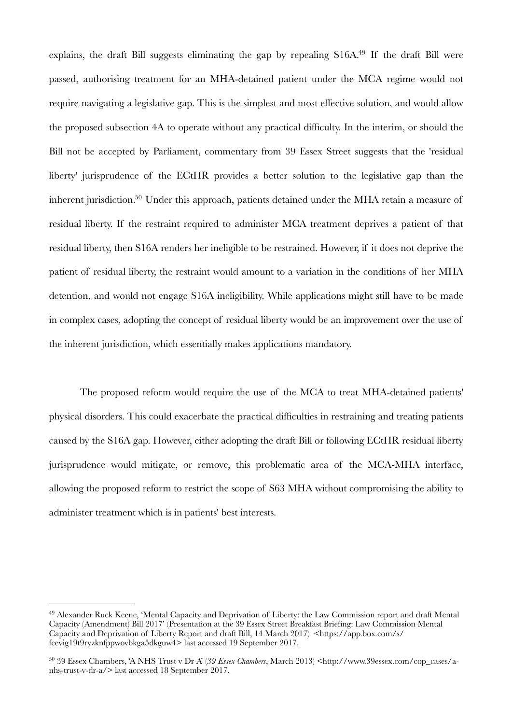<span id="page-10-3"></span><span id="page-10-2"></span>explains, the draft Bill suggests eliminating the gap by repealing  $S16A<sup>49</sup>$  $S16A<sup>49</sup>$  $S16A<sup>49</sup>$  If the draft Bill were passed, authorising treatment for an MHA-detained patient under the MCA regime would not require navigating a legislative gap. This is the simplest and most effective solution, and would allow the proposed subsection 4A to operate without any practical difficulty. In the interim, or should the Bill not be accepted by Parliament, commentary from 39 Essex Street suggests that the 'residual liberty' jurisprudence of the ECtHR provides a better solution to the legislative gap than the inherent jurisdiction[.](#page-10-1)<sup>[50](#page-10-1)</sup> Under this approach, patients detained under the MHA retain a measure of residual liberty. If the restraint required to administer MCA treatment deprives a patient of that residual liberty, then S16A renders her ineligible to be restrained. However, if it does not deprive the patient of residual liberty, the restraint would amount to a variation in the conditions of her MHA detention, and would not engage S16A ineligibility. While applications might still have to be made in complex cases, adopting the concept of residual liberty would be an improvement over the use of the inherent jurisdiction, which essentially makes applications mandatory.

The proposed reform would require the use of the MCA to treat MHA-detained patients' physical disorders. This could exacerbate the practical difficulties in restraining and treating patients caused by the S16A gap. However, either adopting the draft Bill or following ECtHR residual liberty jurisprudence would mitigate, or remove, this problematic area of the MCA-MHA interface, allowing the proposed reform to restrict the scope of S63 MHA without compromising the ability to administer treatment which is in patients' best interests.

<span id="page-10-0"></span><sup>&</sup>lt;sup>[49](#page-10-2)</sup> Alexander Ruck Keene, 'Mental Capacity and Deprivation of Liberty: the Law Commission report and draft Mental Capacity (Amendment) Bill 2017' (Presentation at the 39 Essex Street Breakfast Briefing: Law Commission Mental Capacity and Deprivation of Liberty Report and draft Bill, 14 March 2017) <https://app.box.com/s/ fcevig19t9ryzknfppwovbkga5dkguw4> last accessed 19 September 2017.

<span id="page-10-1"></span><sup>&</sup>lt;sup>[50](#page-10-3)</sup> 39 Essex Chambers, 'A NHS Trust v Dr A' (39 Essex Chambers, March 2013) <http://www.39essex.com/cop\_cases/anhs-trust-v-dr-a/> last accessed 18 September 2017.